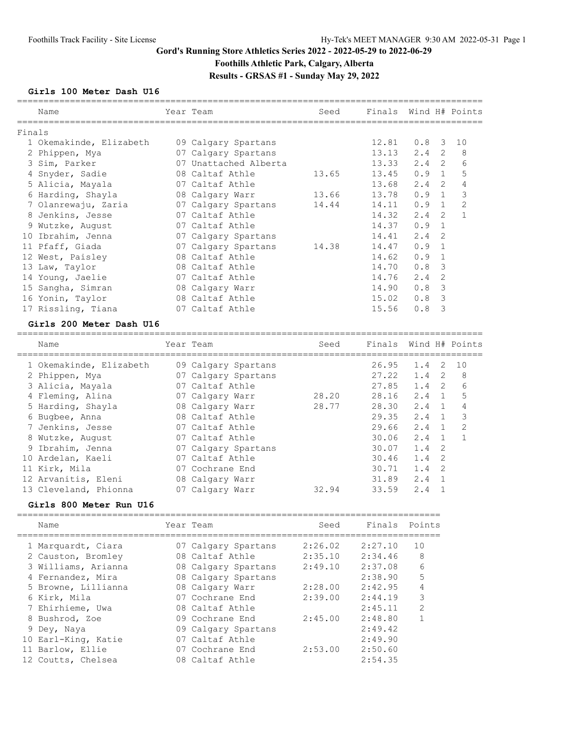# **Gord's Running Store Athletics Series 2022 - 2022-05-29 to 2022-06-29 Foothills Athletic Park, Calgary, Alberta Results - GRSAS #1 - Sunday May 29, 2022**

#### **Girls 100 Meter Dash U16**

|        | Name                                              | Year Team             | Seed  | Finals Wind H# Points |               |                |                |
|--------|---------------------------------------------------|-----------------------|-------|-----------------------|---------------|----------------|----------------|
| Finals |                                                   |                       |       |                       |               |                |                |
|        | 1 Okemakinde, Elizabeth                           | 09 Calgary Spartans   |       | 12.81                 | $0.8$ 3 10    |                |                |
|        | 2 Phippen, Mya                                    | 07 Calgary Spartans   |       | 13.13                 | $2.4 \quad 2$ |                | 8              |
|        | 3 Sim, Parker                                     | 07 Unattached Alberta |       | 13.33                 | $2.4 \quad 2$ |                | 6              |
|        | 4 Snyder, Sadie                                   | 08 Caltaf Athle       | 13.65 | 13.45                 | $0.9 \quad 1$ |                | 5              |
|        | 5 Alicia, Mayala                                  | 07 Caltaf Athle       |       | 13.68                 | $2.4 \quad 2$ |                | $\overline{4}$ |
|        | 6 Harding, Shayla                                 | 08 Calgary Warr       | 13.66 | 13.78                 | $0.9 \quad 1$ |                | 3              |
|        | 7 Olanrewaju, Zaria           07 Calgary Spartans |                       | 14.44 | 14.11                 | $0.9 \quad 1$ |                | 2              |
|        | 8 Jenkins, Jesse                                  | 07 Caltaf Athle       |       | 14.32                 | $2.4 \quad 2$ |                | $\overline{1}$ |
|        | 9 Wutzke, August                                  | 07 Caltaf Athle       |       | 14.37                 | 0.9           | $\overline{1}$ |                |
|        | 10 Ibrahim, Jenna                                 | 07 Calgary Spartans   |       | 14.41                 | 2.4           | -2             |                |
|        | 11 Pfaff, Giada                                   | 07 Calgary Spartans   | 14.38 | 14.47                 | 0.9           | $\overline{1}$ |                |
|        | 12 West, Paisley                                  | 08 Caltaf Athle       |       | 14.62                 | 0.9           | $\overline{1}$ |                |
|        | 13 Law, Taylor                                    | 08 Caltaf Athle       |       | 14.70                 | 0.8           | 3              |                |
|        | 14 Young, Jaelie                                  | 07 Caltaf Athle       |       | 14.76                 | 2.4           | -2             |                |
|        | 15 Sangha, Simran                                 | 08 Calgary Warr       |       | 14.90                 | 0.8           | 3              |                |
|        | 16 Yonin, Taylor                                  | 08 Caltaf Athle       |       | 15.02                 | 0.8           | 3              |                |
|        | 17 Rissling, Tiana                                | 07 Caltaf Athle       |       | 15.56                 | 0.8           | 3              |                |
|        |                                                   |                       |       |                       |               |                |                |

#### **Girls 200 Meter Dash U16**

| Name                    | Year Team           | Seed  | Finals Wind H# Points |     |                |               |
|-------------------------|---------------------|-------|-----------------------|-----|----------------|---------------|
| 1 Okemakinde, Elizabeth | 09 Calgary Spartans |       | 26.95                 | 1.4 | 2              | 10            |
| 2 Phippen, Mya          | 07 Calgary Spartans |       | 27.22                 | 1.4 | -2             | -8            |
| 3 Alicia, Mayala        | 07 Caltaf Athle     |       | 27.85                 | 1.4 | 2              | 6             |
| 4 Fleming, Alina        | 07 Calgary Warr     | 28.20 | 28.16                 | 2.4 | $\overline{1}$ | .5            |
| 5 Harding, Shayla       | 08 Calgary Warr     | 28.77 | 28.30                 | 2.4 |                | 4             |
| 6 Bugbee, Anna          | 08 Caltaf Athle     |       | 29.35                 | 2.4 | $\overline{1}$ | 3             |
| 7 Jenkins, Jesse        | 07 Caltaf Athle     |       | 29.66                 | 2.4 | $\overline{1}$ | $\mathcal{L}$ |
| 8 Wutzke, August        | 07 Caltaf Athle     |       | 30.06                 | 2.4 |                |               |
| 9 Ibrahim, Jenna        | 07 Calgary Spartans |       | 30.07                 | 1.4 | - 2            |               |
| 10 Ardelan, Kaeli       | 07 Caltaf Athle     |       | 30.46                 | 1.4 | -2             |               |
| 11 Kirk, Mila           | 07 Cochrane End     |       | 30.71                 | 1.4 | -2             |               |
| 12 Arvanitis, Eleni     | 08 Calgary Warr     |       | 31.89                 | 2.4 | $\blacksquare$ |               |
| 13 Cleveland, Phionna   | 07 Calgary Warr     | 32.94 | 33.59                 | 2.4 |                |               |
|                         |                     |       |                       |     |                |               |

#### **Girls 800 Meter Run U16**

| Name                | Year Team           | Seed    | Finals Points |               |
|---------------------|---------------------|---------|---------------|---------------|
| 1 Marquardt, Ciara  | 07 Calgary Spartans | 2:26.02 | 2:27.10       | 10            |
| 2 Causton, Bromley  | 08 Caltaf Athle     | 2:35.10 | 2:34.46       | 8             |
| 3 Williams, Arianna | 08 Calgary Spartans | 2:49.10 | 2:37.08       | 6             |
| 4 Fernandez, Mira   | 08 Calgary Spartans |         | 2:38.90       | 5             |
| 5 Browne, Lillianna | 08 Calgary Warr     | 2:28.00 | 2:42.95       | 4             |
| 6 Kirk, Mila        | 07 Cochrane End     | 2:39.00 | 2:44.19       | 3             |
| 7 Ehirhieme, Uwa    | 08 Caltaf Athle     |         | 2:45.11       | $\mathcal{P}$ |
| 8 Bushrod, Zoe      | 09 Cochrane End     | 2:45.00 | 2:48.80       |               |
| 9 Dey, Naya         | 09 Calgary Spartans |         | 2:49.42       |               |
| 10 Earl-King, Katie | 07 Caltaf Athle     |         | 2:49.90       |               |
| 11 Barlow, Ellie    | 07 Cochrane End     | 2:53.00 | 2:50.60       |               |
| 12 Coutts, Chelsea  | 08 Caltaf Athle     |         | 2:54.35       |               |
|                     |                     |         |               |               |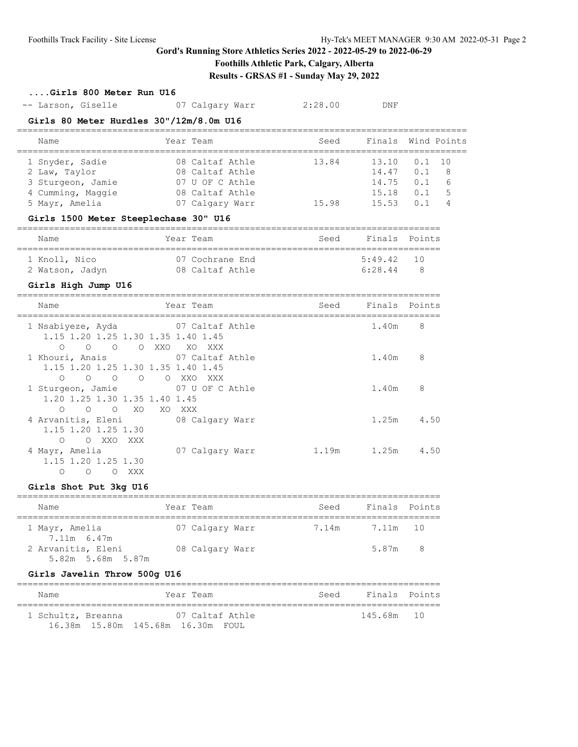# **Foothills Athletic Park, Calgary, Alberta**

**Results - GRSAS #1 - Sunday May 29, 2022**

## **....Girls 800 Meter Run U16**

| -- Larson, Giselle<br>07 Calgary Warr | 2:28.00 | DNF |
|---------------------------------------|---------|-----|
|---------------------------------------|---------|-----|

#### **Girls 80 Meter Hurdles 30"/12m/8.0m U16**

| Name              |  | Year Team       | Seed  | Finals Wind Points |          |                |  |  |  |
|-------------------|--|-----------------|-------|--------------------|----------|----------------|--|--|--|
| 1 Snyder, Sadie   |  | 08 Caltaf Athle | 13.84 | 13.10              | $0.1$ 10 |                |  |  |  |
| 2 Law, Taylor     |  | 08 Caltaf Athle |       | 14.47              | 0.1      | - 8            |  |  |  |
| 3 Sturgeon, Jamie |  | 07 U OF C Athle |       | 14.75              | 0.1      | - 6            |  |  |  |
| 4 Cumming, Maggie |  | 08 Caltaf Athle |       | 15.18              | 0.1      | - 5            |  |  |  |
| 5 Mayr, Amelia    |  | 07 Calgary Warr | 15.98 | 15.53              |          | $\overline{4}$ |  |  |  |

#### **Girls 1500 Meter Steeplechase 30" U16**

| Name            | Year Team       | Seed | Finals Points |     |  |  |  |  |
|-----------------|-----------------|------|---------------|-----|--|--|--|--|
| 1 Knoll, Nico   | 07 Cochrane End |      | $5:49.42$ 10  |     |  |  |  |  |
| 2 Watson, Jadyn | 08 Caltaf Athle |      | 6:28.44       | - 8 |  |  |  |  |

## **Girls High Jump U16**

| Name                                                                                                                 | Year Team                       | Seed  | Finals Points |      |
|----------------------------------------------------------------------------------------------------------------------|---------------------------------|-------|---------------|------|
| 1 Nsabiyeze, Ayda<br>1.15 1.20 1.25 1.30 1.35 1.40 1.45<br>$\overline{O}$<br>$\circ$<br>$\circ$<br>XXO<br>$\bigcirc$ | 07 Caltaf Athle<br>XO XXX       |       | 1.40m         | 8    |
| 1 Khouri, Anais<br>1.15 1.20 1.25 1.30 1.35 1.40 1.45                                                                | 07 Caltaf Athle                 |       | 1.40m         | 8    |
| $\overline{O}$<br>$\circ$<br>$\Omega$<br>$\circ$<br>1 Sturgeon, Jamie<br>1.20 1.25 1.30 1.35 1.40 1.45               | O XXO<br>XXX<br>07 U OF C Athle |       | 1.40m         | 8    |
| $\bigcirc$<br>$\Omega$<br>XO.<br>$\Omega$<br>XO.<br>4 Arvanitis, Eleni<br>1.15 1.20 1.25 1.30                        | XXX -<br>08 Calgary Warr        |       | 1.25m         | 4.50 |
| XXO<br>XXX<br>$\Omega$<br>$\circ$<br>4 Mayr, Amelia<br>1.15 1.20 1.25 1.30<br>O<br>XXX<br>$\Omega$<br>Ω              | 07 Calgary Warr                 | 1.19m | 1.25m         | 4.50 |

#### **Girls Shot Put 3kg U16**

| Name                                    | Year Team       | Seed           | Finals Points |  |
|-----------------------------------------|-----------------|----------------|---------------|--|
| 1 Mayr, Amelia<br>7.11m 6.47m           | 07 Calgary Warr | 7.14m 7.11m 10 |               |  |
| 2 Arvanitis, Eleni<br>5.82m 5.68m 5.87m | 08 Calgary Warr |                | 5.87m 8       |  |

## **Girls Javelin Throw 500g U16**

| Name               | Year Team                         | Seed | Finals Points |  |
|--------------------|-----------------------------------|------|---------------|--|
| 1 Schultz, Breanna | 07 Caltaf Athle                   |      | 145.68m 10    |  |
|                    | 16.38m 15.80m 145.68m 16.30m FOUL |      |               |  |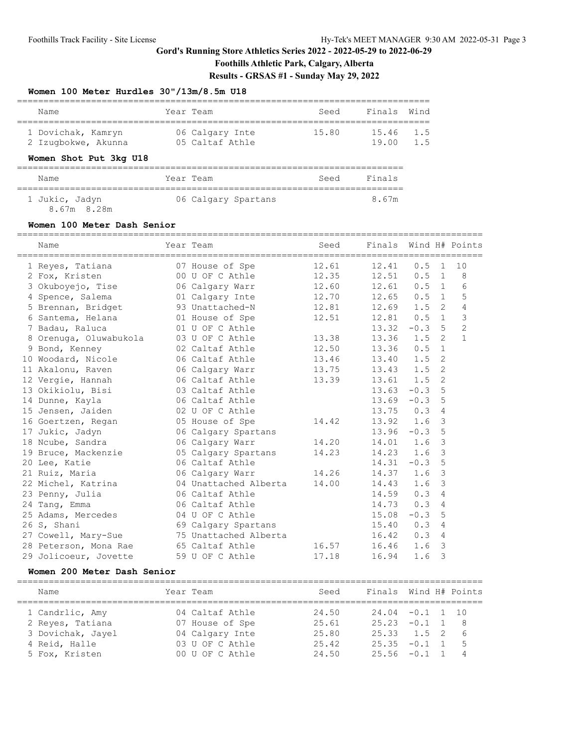**Foothills Athletic Park, Calgary, Alberta**

**Results - GRSAS #1 - Sunday May 29, 2022**

#### **Women 100 Meter Hurdles 30"/13m/8.5m U18**

| Name                | Year Team       | Seed  | Finals Wind |     |  |  |  |  |  |  |
|---------------------|-----------------|-------|-------------|-----|--|--|--|--|--|--|
| 1 Dovichak, Kamryn  | 06 Calgary Inte | 15.80 | 15.46 1.5   |     |  |  |  |  |  |  |
| 2 Izuqbokwe, Akunna | 05 Caltaf Athle |       | 19 N N      | 1.5 |  |  |  |  |  |  |

## **Women Shot Put 3kg U18**

| Name           |  | Year Team |  |                     | Seed | Finals |  |  |  |
|----------------|--|-----------|--|---------------------|------|--------|--|--|--|
|                |  |           |  |                     |      |        |  |  |  |
| 1 Jukic, Jadyn |  |           |  | 06 Calgary Spartans |      | 8.67m  |  |  |  |

8.67m 8.28m

#### **Women 100 Meter Dash Senior**

| Name                                      | Year Team             | Seed  | Finals        |               |                | Wind H# Points |
|-------------------------------------------|-----------------------|-------|---------------|---------------|----------------|----------------|
| 1 Reyes, Tatiana                          | 07 House of Spe       | 12.61 | 12.41         | 0.5           | $\overline{1}$ | 10             |
| 2 Fox, Kristen                            | 00 U OF C Athle       | 12.35 | 12.51         | $0.5 \quad 1$ |                | 8              |
| 3 Okuboyejo, Tise                         | 06 Calgary Warr       | 12.60 | 12.61         | $0.5 \quad 1$ |                | 6              |
| 4 Spence, Salema                          | 01 Calgary Inte       | 12.70 | 12.65         | $0.5 \quad 1$ |                | 5              |
| 5 Brennan, Bridget                        | 93 Unattached-N       | 12.81 | 12.69         | $1.5 \quad 2$ |                | $\overline{4}$ |
| 6 Santema, Helana                         | 01 House of Spe       | 12.51 | $12.81$ 0.5 1 |               |                | $\mathfrak{Z}$ |
| 7 Badau, Raluca                           | 01 U OF C Athle       |       | 13.32         | $-0.3$ 5      |                | $\overline{c}$ |
| 8 Orenuga, Oluwabukola                    | 03 U OF C Athle       | 13.38 | 13.36         | $1.5 \quad 2$ |                | $\mathbf{1}$   |
| 9 Bond, Kenney                            | 02 Caltaf Athle       | 12.50 | $13.36$ 0.5   |               | $\overline{1}$ |                |
| 10 Woodard, Nicole                        | 06 Caltaf Athle       | 13.46 | 13.40         | 1.5           | 2              |                |
| 11 Akalonu, Raven                         | 06 Calgary Warr       | 13.75 | $13.43$ $1.5$ |               | 2              |                |
| 12 Vergie, Hannah                         | 06 Caltaf Athle       | 13.39 | $13.61$ $1.5$ |               | $\overline{2}$ |                |
| 13 Okikiolu, Bisi                         | 03 Caltaf Athle       |       | 13.63         | $-0.3$ 5      |                |                |
| 14 Dunne, Kayla                           | 06 Caltaf Athle       |       | 13.69         | $-0.3$        | 5              |                |
| 15 Jensen, Jaiden                         | 02 U OF C Athle       |       | 13.75         | 0.3           | $\overline{4}$ |                |
| 16 Goertzen, Regan 65 House of Spe        |                       | 14.42 | 13.92         | 1.6           | $\overline{3}$ |                |
| 17 Jukic, Jadyn                           | 06 Calgary Spartans   |       | $13.96 - 0.3$ |               | 5              |                |
| 18 Ncube, Sandra                          | 06 Calgary Warr       | 14.20 | $14.01$ 1.6   |               | $\mathbf{3}$   |                |
| 19 Bruce, Mackenzie 65 Calgary Spartans   |                       | 14.23 | 14.23         | 1.6           | 3              |                |
| 20 Lee, Katie                             | 06 Caltaf Athle       |       | 14.31         | $-0.3$        | 5              |                |
| 21 Ruiz, Maria                            | 06 Calgary Warr       | 14.26 | 14.37         | 1.6           | $\mathbf{3}$   |                |
| 22 Michel, Katrina                        | 04 Unattached Alberta | 14.00 | 14.43         | 1.6           | $\mathcal{S}$  |                |
| 23 Penny, Julia                           | 06 Caltaf Athle       |       | 14.59         | 0.3           | $\overline{4}$ |                |
| 24 Tang, Emma                             | 06 Caltaf Athle       |       | 14.73         | 0.3           | $\overline{4}$ |                |
| 25 Adams, Mercedes                        | 04 U OF C Athle       |       | 15.08         | $-0.3$        | 5              |                |
| 26 S, Shani                               | 69 Calgary Spartans   |       | 15.40         | 0.3           | $\overline{4}$ |                |
| 27 Cowell, Mary-Sue 75 Unattached Alberta |                       |       | 16.42         | 0.3           | $\overline{4}$ |                |
| 28 Peterson, Mona Rae 65 Caltaf Athle     |                       | 16.57 | 16.46         | 1.6           | 3              |                |
| 29 Jolicoeur, Jovette                     | 59 U OF C Athle       | 17.18 | 16.94         | 1.6           | 3              |                |

## **Women 200 Meter Dash Senior**

| Name              | Year Team |                 | Seed  | Finals Wind H# Points |  |                |
|-------------------|-----------|-----------------|-------|-----------------------|--|----------------|
| 1 Candrlic, Amy   |           | 04 Caltaf Athle | 24.50 | $24.04 - 0.1 1 10$    |  |                |
| 2 Reves, Tatiana  |           | 07 House of Spe | 25.61 | $25.23 -0.1$ 1        |  | $\overline{8}$ |
| 3 Dovichak, Jayel |           | 04 Calgary Inte | 25.80 | $25.33 \t1.5 \t2$     |  | - 6            |
| 4 Reid, Halle     |           | 03 U OF C Athle | 25.42 | $25.35 -0.1$ 1        |  | $-5$           |
| 5 Fox, Kristen    |           | 00 U OF C Athle | 24.50 | $25.56 - 0.1 1$       |  | $\overline{4}$ |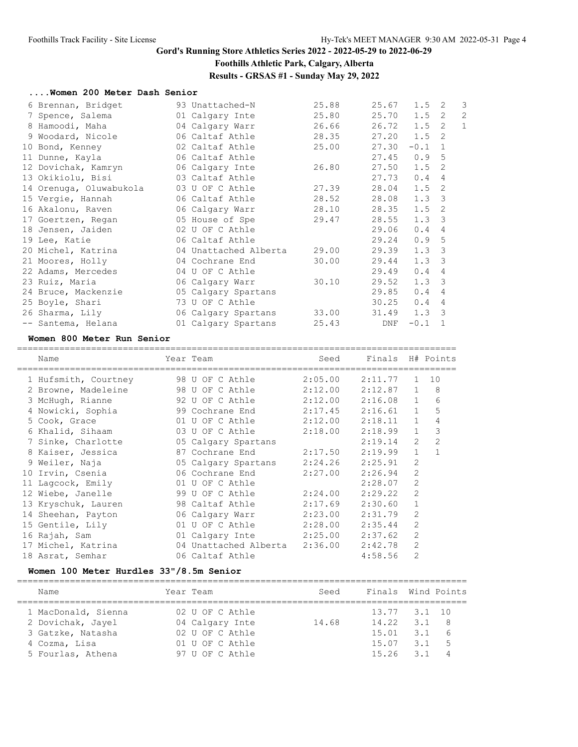# **Foothills Athletic Park, Calgary, Alberta**

**Results - GRSAS #1 - Sunday May 29, 2022**

#### **....Women 200 Meter Dash Senior**

| 6 Brennan, Bridget      | 93 Unattached-N       | 25.88 | 25.67 | $1.5 \quad 2$ |                         | $\overline{3}$ |
|-------------------------|-----------------------|-------|-------|---------------|-------------------------|----------------|
| 7 Spence, Salema        | 01 Calgary Inte       | 25.80 | 25.70 | $1.5 \quad 2$ |                         | $\overline{2}$ |
| 8 Hamoodi, Maha         | 04 Calgary Warr       | 26.66 | 26.72 | $1.5 \quad 2$ |                         | $\mathbf{1}$   |
| 9 Woodard, Nicole       | 06 Caltaf Athle       | 28.35 | 27.20 | $1.5 \quad 2$ |                         |                |
| 10 Bond, Kenney         | 02 Caltaf Athle       | 25.00 | 27.30 | $-0.1$        | $\overline{1}$          |                |
| 11 Dunne, Kayla         | 06 Caltaf Athle       |       | 27.45 | 0.95          |                         |                |
| 12 Dovichak, Kamryn     | 06 Calgary Inte       | 26.80 | 27.50 | $1.5 \quad 2$ |                         |                |
| 13 Okikiolu, Bisi       | 03 Caltaf Athle       |       | 27.73 | 0.4           | 4                       |                |
| 14 Orenuga, Oluwabukola | 03 U OF C Athle       | 27.39 | 28.04 | $1.5 \quad 2$ |                         |                |
| 15 Vergie, Hannah       | 06 Caltaf Athle       | 28.52 | 28.08 | $1.3 \quad 3$ |                         |                |
| 16 Akalonu, Raven       | 06 Calgary Warr       | 28.10 | 28.35 | 1.5           | $\overline{2}$          |                |
| 17 Goertzen, Regan      | 05 House of Spe       | 29.47 | 28.55 | $1.3 \quad 3$ |                         |                |
| 18 Jensen, Jaiden       | 02 U OF C Athle       |       | 29.06 | 0.4           | 4                       |                |
| 19 Lee, Katie           | 06 Caltaf Athle       |       | 29.24 | 0.9           | $-5$                    |                |
| 20 Michel, Katrina      | 04 Unattached Alberta | 29.00 | 29.39 | $1.3 \quad 3$ |                         |                |
| 21 Moores, Holly        | 04 Cochrane End       | 30.00 | 29.44 | $1.3 \quad 3$ |                         |                |
| 22 Adams, Mercedes      | 04 U OF C Athle       |       | 29.49 | 0.4           | $\overline{4}$          |                |
| 23 Ruiz, Maria          | 06 Calgary Warr       | 30.10 | 29.52 | $1.3 \quad 3$ |                         |                |
| 24 Bruce, Mackenzie     | 05 Calgary Spartans   |       | 29.85 | 0.4           | 4                       |                |
| 25 Boyle, Shari         | 73 U OF C Athle       |       | 30.25 | 0.4           | 4                       |                |
| 26 Sharma, Lily         | 06 Calgary Spartans   | 33.00 | 31.49 | 1.3           | $\overline{\mathbf{3}}$ |                |
| -- Santema, Helana      | 01 Calgary Spartans   | 25.43 | DNF   | $-0.1$        | $\mathbf{1}$            |                |

#### **Women 800 Meter Run Senior**

| Name                                      | Year Team               | Seed            | Finals H# Points |                |                |
|-------------------------------------------|-------------------------|-----------------|------------------|----------------|----------------|
| 1 Hufsmith, Courtney                      | 98 U OF C Athle         | 2:05.00         | 2:11.77          | $\mathbf{1}$   | 10             |
| 2 Browne, Madeleine 98 U OF C Athle       |                         | 2:12.00         | 2:12.87          | $\mathbf{1}$   | 8              |
| 3 McHugh, Rianne                          | 92 U OF C Athle         | 2:12.00 2:16.08 |                  | 1              | 6              |
| 4 Nowicki, Sophia 39 Cochrane End 2:17.45 |                         |                 | 2:16.61          | $\mathbf{1}$   | 5              |
| 5 Cook, Grace                             | 01 U OF C Athle         | 2:12.00         | 2:18.11          | $\mathbf{1}$   | 4              |
| 6 Khalid, Sihaam                          | 03 U OF C Athle         | 2:18.00         | 2:18.99          | $\mathbf{1}$   | 3              |
| 7 Sinke, Charlotte                        | 05 Calgary Spartans     |                 | 2:19.14          | 2              | $\overline{c}$ |
| 8 Kaiser, Jessica                         | 87 Cochrane End         | 2:17.50         | 2:19.99          | $\mathbf{1}$   | $\mathbf{1}$   |
| 9 Weiler, Naja                            | 05 Calgary Spartans     | 2:24.26         | 2:25.91          | $\overline{2}$ |                |
| 10 Irvin, Csenia 66 Cochrane End          |                         | 2:27.00         | 2:26.94          | 2              |                |
| 11 Lagcock, Emily                         | 01 U OF C Athle         |                 | 2:28.07          | 2              |                |
| 12 Wiebe, Janelle                         | 99 U OF C Athle         | 2:24.00         | 2:29.22          | 2              |                |
| 13 Kryschuk, Lauren                       | 98 Caltaf Athle         | 2:17.69         | 2:30.60          | $\mathbf{1}$   |                |
| 14 Sheehan, Payton 66 Calgary Warr        |                         | 2:23.00         | 2:31.79          | $\overline{2}$ |                |
| 15 Gentile, Lily                          | 01 U OF C Athle         | 2:28.00         | 2:35.44          | $\mathfrak{D}$ |                |
| 16 Rajah, Sam                             | 01 Calgary Inte 2:25.00 |                 | 2:37.62          | $\overline{2}$ |                |
| 17 Michel, Katrina                        | 04 Unattached Alberta   | 2:36.00         | 2:42.78          | $\overline{2}$ |                |
| 18 Asrat, Semhar                          | 06 Caltaf Athle         |                 | 4:58.56          | $\overline{2}$ |                |
|                                           |                         |                 |                  |                |                |

## **Women 100 Meter Hurdles 33"/8.5m Senior**

| Name                | Year Team       | Seed  | Finals Wind Points |                    |                |
|---------------------|-----------------|-------|--------------------|--------------------|----------------|
| 1 MacDonald, Sienna | 02 U OF C Athle |       | 13.77 3.1 10       |                    |                |
| 2 Dovichak, Jayel   | 04 Calgary Inte | 14.68 | 14.22              | 3.1                | - R            |
| 3 Gatzke, Natasha   | 02 U OF C Athle |       | 15.01              | 3.1                | 6              |
| 4 Cozma, Lisa       | 01 U OF C Athle |       | 15.07              | $\overline{3}$ . 1 | $-5$           |
| 5 Fourlas, Athena   | 97 U OF C Athle |       | 15.26              | 31                 | $\overline{4}$ |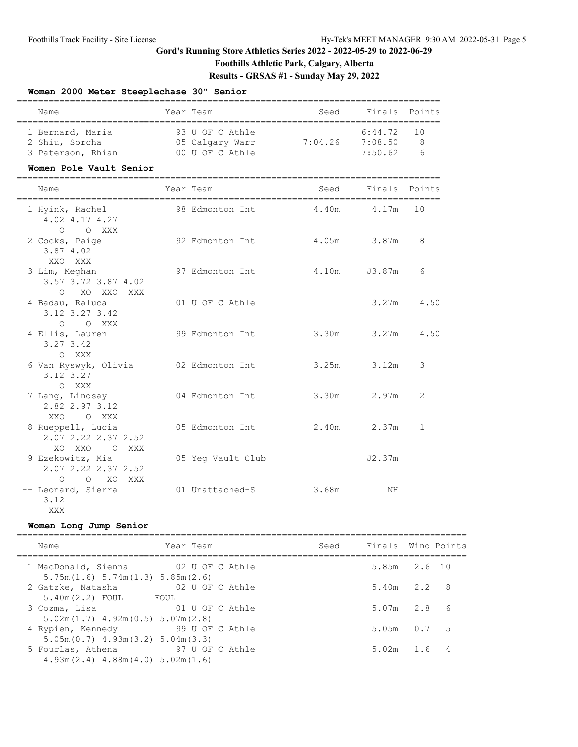# **Foothills Athletic Park, Calgary, Alberta**

**Results - GRSAS #1 - Sunday May 29, 2022**

## **Women 2000 Meter Steeplechase 30" Senior**

| Name              | Year Team       | Seed    | Finals Points |            |  |  |  |  |  |  |  |
|-------------------|-----------------|---------|---------------|------------|--|--|--|--|--|--|--|
|                   |                 |         |               |            |  |  |  |  |  |  |  |
| 1 Bernard, Maria  | 93 U OF C Athle |         | $6:44.72$ 10  |            |  |  |  |  |  |  |  |
| 2 Shiu, Sorcha    | 05 Calgary Warr | 7:04.26 | 7:08.50       | Я          |  |  |  |  |  |  |  |
| 3 Paterson, Rhian | 00 U OF C Athle |         | 7:50.62       | $\epsilon$ |  |  |  |  |  |  |  |

#### **Women Pole Vault Senior**

| Name                                                             | Year Team                     | Seed             | Finals Points |              |
|------------------------------------------------------------------|-------------------------------|------------------|---------------|--------------|
| 1 Hyink, Rachel<br>4.02 4.17 4.27<br>O O XXX                     | 98 Edmonton Int  4.40m  4.17m |                  |               | 10           |
| 2 Cocks, Paige<br>3.87 4.02<br>XXO XXX                           | 92 Edmonton Int               | $4.05m$ $3.87m$  |               | 8            |
| 3 Lim, Meghan<br>3.57 3.72 3.87 4.02<br>O XO XXO XXX             | 97 Edmonton Int               | 4.10m            | J3.87m        | 6            |
| 4 Badau, Raluca<br>3.12 3.27 3.42<br>O O XXX                     | 01 U OF C Athle               |                  |               | $3.27m$ 4.50 |
| 4 Ellis, Lauren<br>3.27 3.42<br>O XXX                            | 99 Edmonton Int               | 3.30m 3.27m 4.50 |               |              |
| 6 Van Ryswyk, Olivia<br>3.12 3.27<br>O XXX                       | 02 Edmonton Int               | $3.25m$ $3.12m$  |               | 3            |
| 7 Lang, Lindsay<br>2.82 2.97 3.12<br>XXO O XXX                   | 04 Edmonton Int               | 3.30m 2.97m      |               | 2            |
| 8 Rueppell, Lucia<br>2.07 2.22 2.37 2.52<br>XO XXO O XXX         | 05 Edmonton Int               | 2.40m 2.37m      |               | $\mathbf{1}$ |
| 9 Ezekowitz, Mia<br>2.07 2.22 2.37 2.52<br>O XO XXX<br>$\bigcap$ | 05 Yeq Vault Club             |                  | J2.37m        |              |
| -- Leonard, Sierra<br>3.12                                       | 01 Unattached-S               | 3.68m            | NH            |              |

#### **Women Long Jump Senior**

XXX

| Name                                                                    | Year Team |                 | Seed | Finals Wind Points |  |
|-------------------------------------------------------------------------|-----------|-----------------|------|--------------------|--|
| 1 MacDonald, Sienna 62 U OF C Athle<br>5.75m(1.6) 5.74m(1.3) 5.85m(2.6) |           |                 |      | 5.85m 2.6 10       |  |
| 2 Gatzke, Natasha<br>$5.40m(2.2)$ FOUL<br>FOUL                          |           | 02 U OF C Athle |      | $5.40m$ $2.2$ 8    |  |
| 01 U OF C Athle<br>3 Cozma, Lisa<br>$5.02m(1.7)$ 4.92m(0.5) 5.07m(2.8)  |           |                 |      | $5.07m$ 2.8 6      |  |
| 4 Rypien, Kennedy<br>$5.05m(0.7)$ 4.93m(3.2) 5.04m(3.3)                 |           | 99 U OF C Athle |      | $5.05m$ $0.7$ 5    |  |
| 5 Fourlas, Athena<br>$4.93m(2.4)$ $4.88m(4.0)$ $5.02m(1.6)$             |           | 97 U OF C Athle |      | $5.02m$ 1.6        |  |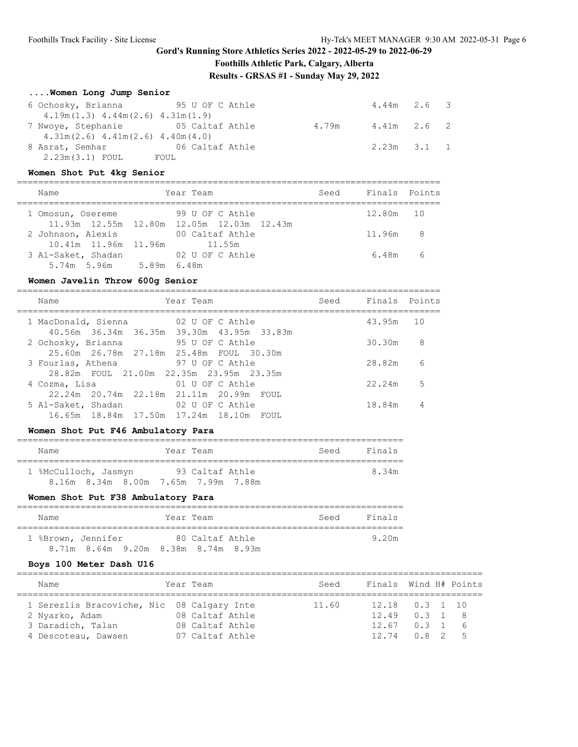# **Foothills Athletic Park, Calgary, Alberta**

**Results - GRSAS #1 - Sunday May 29, 2022**

# **....Women Long Jump Senior**

| 6 Ochosky, Brianna 55 U OF C Athle     |                 |       | $4.44m$ 2.6 3   |  |
|----------------------------------------|-----------------|-------|-----------------|--|
| $4.19m(1.3)$ $4.44m(2.6)$ $4.31m(1.9)$ |                 |       |                 |  |
| 7 Nwoye, Stephanie 65 Caltaf Athle     |                 | 4.79m | 4.41m 2.6 2     |  |
| $4.31m(2.6)$ $4.41m(2.6)$ $4.40m(4.0)$ |                 |       |                 |  |
| 8 Asrat, Semhar                        | 06 Caltaf Athle |       | $2.23m$ $3.1$ 1 |  |
| $2.23m(3.1)$ FOUL                      | FOUL            |       |                 |  |

## **Women Shot Put 4kg Senior**

| Name                        | Year Team                                 | Seed | Finals Points |  |
|-----------------------------|-------------------------------------------|------|---------------|--|
| 1 Omosun, Osereme           | 99 U OF C Athle                           |      | 12.80m 10     |  |
|                             | 11.93m 12.55m 12.80m 12.05m 12.03m 12.43m |      |               |  |
| 2 Johnson, Alexis           | 00 Caltaf Athle                           |      | 11.96m 8      |  |
| 10.41m 11.96m 11.96m 11.55m |                                           |      |               |  |
| 3 Al-Saket, Shadan          | 02 U OF C Athle                           |      | 6.48m 6       |  |
| 5.74m 5.96m 5.89m 6.48m     |                                           |      |               |  |

#### **Women Javelin Throw 600g Senior**

| Name |                                                                                                       | Seed                                                                                                                                                                                                                                                                                                  |        |                         |
|------|-------------------------------------------------------------------------------------------------------|-------------------------------------------------------------------------------------------------------------------------------------------------------------------------------------------------------------------------------------------------------------------------------------------------------|--------|-------------------------|
|      |                                                                                                       |                                                                                                                                                                                                                                                                                                       |        | 10                      |
|      |                                                                                                       |                                                                                                                                                                                                                                                                                                       | 30.30m | 8                       |
|      |                                                                                                       |                                                                                                                                                                                                                                                                                                       | 28.82m | 6                       |
|      | 01 U OF C Athle                                                                                       |                                                                                                                                                                                                                                                                                                       | 22.24m | 5                       |
|      | 02 U OF C Athle                                                                                       |                                                                                                                                                                                                                                                                                                       | 18.84m | 4                       |
|      | 1 MacDonald, Sienna<br>2 Ochosky, Brianna<br>3 Fourlas, Athena<br>4 Cozma, Lisa<br>5 Al-Saket, Shadan | Year Team<br>02 U OF C Athle<br>40.56m 36.34m 36.35m 39.30m 43.95m 33.83m<br>95 U OF C Athle<br>25.60m  26.78m  27.18m  25.48m  FOUL  30.30m<br>97 U OF C Athle<br>28.82m FOUL 21.00m 22.35m 23.95m 23.35m<br>22.24m  20.74m  22.18m  21.11m  20.99m  FOUL<br>16.65m 18.84m 17.50m 17.24m 18.10m FOUL |        | Finals Points<br>43.95m |

#### **Women Shot Put F46 Ambulatory Para**

| Name                 |  |                                     | Year Team |                 |  |  | Seed | Finals |  |  |  |  |
|----------------------|--|-------------------------------------|-----------|-----------------|--|--|------|--------|--|--|--|--|
|                      |  |                                     |           |                 |  |  |      |        |  |  |  |  |
| 1 %McCulloch, Jasmyn |  |                                     |           | 93 Caltaf Athle |  |  |      | 8.34m  |  |  |  |  |
|                      |  | 8.16m 8.34m 8.00m 7.65m 7.99m 7.88m |           |                 |  |  |      |        |  |  |  |  |

#### **Women Shot Put F38 Ambulatory Para**

| Name                                      |  |  | Year Team |                 |  |  | Seed | Finals |  |  |  |  |
|-------------------------------------------|--|--|-----------|-----------------|--|--|------|--------|--|--|--|--|
| 1 %Brown, Jennifer                        |  |  |           | 80 Caltaf Athle |  |  |      | 9.20m  |  |  |  |  |
| 8.71 m 8.64 m 9.20 m 8.38 m 8.74 m 8.93 m |  |  |           |                 |  |  |      |        |  |  |  |  |

#### **Boys 100 Meter Dash U16**

| Name                                       |  | Year Team       | Seed  | Finals Wind H# Points |  |                |
|--------------------------------------------|--|-----------------|-------|-----------------------|--|----------------|
| 1 Serezlis Bracoviche, Nic 08 Calgary Inte |  |                 | 11.60 | $12.18$ 0.3 1 10      |  |                |
| 2 Nyarko, Adam                             |  | 08 Caltaf Athle |       | $12.49$ 0.3 1 8       |  |                |
| 3 Daradich, Talan                          |  | 08 Caltaf Athle |       | $12.67$ 0.3 1 6       |  |                |
| 4 Descoteau, Dawsen                        |  | 07 Caltaf Athle |       | $12.74$ $0.8$ 2       |  | 5 <sub>5</sub> |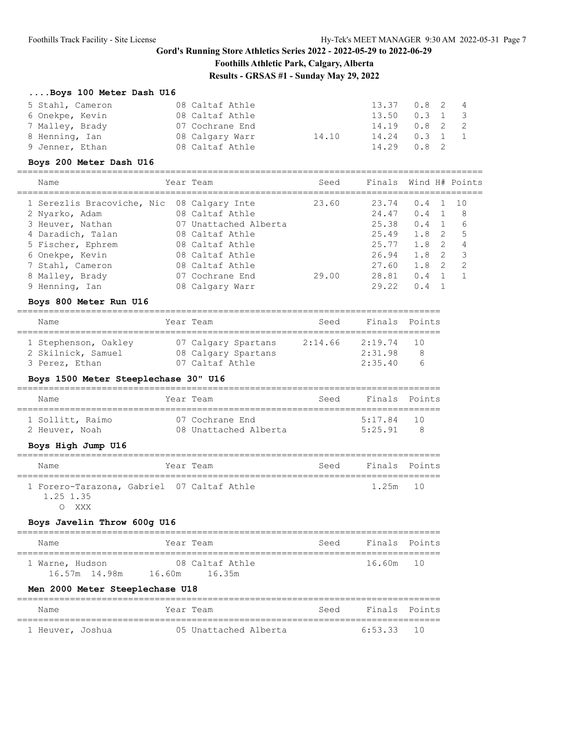# **Gord's Running Store Athletics Series 2022 - 2022-05-29 to 2022-06-29 Foothills Athletic Park, Calgary, Alberta**

**Results - GRSAS #1 - Sunday May 29, 2022**

## **....Boys 100 Meter Dash U16**

| 5 Stahl, Cameron | 08 Caltaf Athle |       | 13.37 0.8 2 4   |  |  |
|------------------|-----------------|-------|-----------------|--|--|
| 6 Onekpe, Kevin  | 08 Caltaf Athle |       | $13.50$ 0.3 1 3 |  |  |
| 7 Malley, Brady  | 07 Cochrane End |       | $14.19$ 0.8 2 2 |  |  |
| 8 Henning, Ian   | 08 Calgary Warr | 14.10 | $14.24$ 0.3 1 1 |  |  |
| 9 Jenner, Ethan  | 08 Caltaf Athle |       | $14.29$ 0.8 2   |  |  |

#### **Boys 200 Meter Dash U16**

| Name                                       | Year Team             | Seed  | Finals Wind H# Points |     |     |                |
|--------------------------------------------|-----------------------|-------|-----------------------|-----|-----|----------------|
| 1 Serezlis Bracoviche, Nic 08 Calgary Inte |                       | 23.60 | 23.74                 | 0.4 |     | 10             |
| 2 Nyarko, Adam                             | 08 Caltaf Athle       |       | 24.47                 | 0.4 |     | - 8            |
| 3 Heuver, Nathan                           | 07 Unattached Alberta |       | 25.38                 | 0.4 |     | -6             |
| 4 Daradich, Talan                          | 08 Caltaf Athle       |       | 25.49                 | 1.8 | -2  | -5             |
| 5 Fischer, Ephrem                          | 08 Caltaf Athle       |       | 25.77                 | 1.8 | -2  | $\overline{4}$ |
| 6 Onekpe, Kevin                            | 08 Caltaf Athle       |       | 26.94                 | 1.8 | - 2 | $\mathcal{R}$  |
| 7 Stahl, Cameron                           | 08 Caltaf Athle       |       | 27.60                 | 1.8 | -2  | 2              |
| 8 Malley, Brady                            | 07 Cochrane End       | 29.00 | 28.81                 | 0.4 |     |                |
| 9 Henning, Ian                             | 08 Calgary Warr       |       | 29.22                 | 0.4 |     |                |

#### **Boys 800 Meter Run U16**

| Name                 | Year Team           | Seed    | Finals Points |    |
|----------------------|---------------------|---------|---------------|----|
| 1 Stephenson, Oakley | 07 Calgary Spartans | 2:14.66 | 2:19.74       | 10 |
| 2 Skilnick, Samuel   | 08 Calgary Spartans |         | 2:31.98       | 8  |
| 3 Perez, Ethan       | 07 Caltaf Athle     |         | 2:35.40       | h  |

## **Boys 1500 Meter Steeplechase 30" U16**

| Name                               | Year Team                                | Seed | Finals Points           |                         |
|------------------------------------|------------------------------------------|------|-------------------------|-------------------------|
| 1 Sollitt, Raimo<br>2 Heuver, Noah | 07 Cochrane End<br>08 Unattached Alberta |      | $5:17.84$ 10<br>5:25.91 | $\overline{\mathbf{R}}$ |
| Boys High Jump II16                |                                          |      |                         |                         |

#### **Boys High Jump U16**

| Name                                                             | Year Team | Seed | Finals Points |  |
|------------------------------------------------------------------|-----------|------|---------------|--|
| 1 Forero-Tarazona, Gabriel 07 Caltaf Athle<br>1.25 1.35<br>XXX X |           |      | 1.25m 10      |  |

#### **Boys Javelin Throw 600g U16**

| Name            | Year Team       | Seed | Finals Points |  |
|-----------------|-----------------|------|---------------|--|
| 1 Warne, Hudson | 08 Caltaf Athle |      | 16.60m 10     |  |
| 16.57m 14.98m   | 1635m<br>16.60m |      |               |  |

#### **Men 2000 Meter Steeplechase U18**

| Name             | Year Team |                       | Seed | Finals Points |  |
|------------------|-----------|-----------------------|------|---------------|--|
| 1 Heuver, Joshua |           | 05 Unattached Alberta |      | $6:53.33$ 10  |  |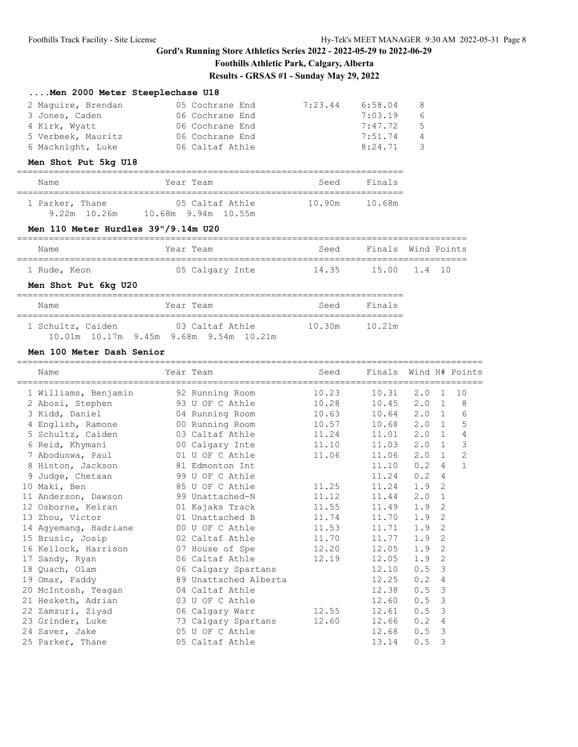# **Foothills Athletic Park, Calgary, Alberta Results - GRSAS #1 - Sunday May 29, 2022**

# **....Men 2000 Meter Steeplechase U18**

| 2 Maquire, Brendan | 05 Cochrane End | 7:23.44 | 6:58.04 | -8             |
|--------------------|-----------------|---------|---------|----------------|
| 3 Jones, Caden     | 06 Cochrane End |         | 7:03.19 | 6              |
| 4 Kirk, Wyatt      | 06 Cochrane End |         | 7:47.72 | 5              |
| 5 Verbeek, Mauritz | 06 Cochrane End |         | 7:51.74 | $\overline{4}$ |
| 6 Macknight, Luke  | 06 Caltaf Athle |         | 8:24.71 | - 3            |

#### **Men Shot Put 5kg U18**

| Name                              | Year Team                              | Seed   | Finals |  |  |  |  |  |  |
|-----------------------------------|----------------------------------------|--------|--------|--|--|--|--|--|--|
| 1 Parker, Thane<br>$9.22m$ 10.26m | 05 Caltaf Athle<br>10.68m 9.94m 10.55m | 10.90m | 10.68m |  |  |  |  |  |  |

#### **Men 110 Meter Hurdles 39"/9.14m U20**

| Name         | Year Team       | Seed  | Finals Wind Points |
|--------------|-----------------|-------|--------------------|
|              |                 |       |                    |
| 1 Rude, Keon | 05 Calgary Inte | 14.35 | 15.00 1.4 10       |

## **Men Shot Put 6kg U20**

| Name              | Year Team                              | Seed   | Finals |
|-------------------|----------------------------------------|--------|--------|
| 1 Schultz, Caiden | 03 Caltaf Athle                        | 10.30m | 10.21m |
|                   | 10.01m 10.17m 9.45m 9.68m 9.54m 10.21m |        |        |

#### **Men 100 Meter Dash Senior**

| Name                                                             | Year Team             | Seed  | Finals Wind H# Points |               |                |                |
|------------------------------------------------------------------|-----------------------|-------|-----------------------|---------------|----------------|----------------|
| 1 Williams, Benjamin                                             | 92 Running Room       | 10.23 | 10.31                 | 2.0           | 1              | 10             |
| 2 Abosi, Stephen                                                 | 93 U OF C Athle       | 10.28 | 10.45                 | 2.0 1         |                | 8              |
| 3 Kidd, Daniel                                                   | 04 Running Room       | 10.63 | 10.64                 | $2.0 \quad 1$ |                | 6              |
| 4 English, Ramone 600 Running Room                               |                       | 10.57 | 10.68                 | $2.0 \quad 1$ |                | 5              |
| 5 Schultz, Caiden                                                | 03 Caltaf Athle       | 11.24 | 11.01                 | $2.0 \quad 1$ |                | $\overline{4}$ |
|                                                                  |                       | 11.10 | 11.03                 | $2.0 \quad 1$ |                | 3              |
| 7 Abodunwa, Paul 01 U OF C Athle                                 |                       | 11.06 | 11.06                 | $2.0 \quad 1$ |                | 2              |
| 8 Hinton, Jackson                                                | 81 Edmonton Int       |       | 11.10                 | $0.2 \quad 4$ |                | $\mathbf{1}$   |
| 9 Judge, Chetaan                                                 | 99 U OF C Athle       |       | 11.24                 | 0.2           | $\overline{4}$ |                |
| 10 Maki, Ben                                                     | 85 U OF C Athle       | 11.25 | 11.24                 | 1.9           | -2             |                |
| 11 Anderson, Dawson                                              | 99 Unattached-N       | 11.12 | 11.44                 | 2.0           | 1              |                |
| 12 Osborne, Keiran               01 Kajaks Track                 |                       | 11.55 | 11.49                 | 1.9           | 2              |                |
| 13 Zhou, Victor                                                  | 01 Unattached B       | 11.74 | 11.70                 | 1.9           | 2              |                |
| 14 Agyemang, Hadriane                                            | 00 U OF C Athle       | 11.53 | 11.71                 | 1.9           | 2              |                |
| 15 Brusic, Josip                                                 | 02 Caltaf Athle       | 11.70 | 11.77                 | 1.9           | 2              |                |
| 16 Kellock, Harrison           07 House of Spe             12.20 |                       |       | 12.05                 | 1.9           | 2              |                |
| 17 Sandy, Ryan                                                   | 06 Caltaf Athle       | 12.19 | 12.05                 | 1.9           | 2              |                |
| 18 Quach, Olam                                                   | 06 Calgary Spartans   |       | 12.10                 | 0.5           | $\overline{3}$ |                |
| 19 Omar, Faddy                                                   | 89 Unattached Alberta |       | 12.25                 | 0.2           | 4              |                |
| 20 McIntosh, Teagan                                              | 04 Caltaf Athle       |       | 12.38                 | 0.5           | 3              |                |
| 21 Hesketh, Adrian                                               | 03 U OF C Athle       |       | 12.60                 | 0.5           | $\overline{3}$ |                |
| 22 Zamzuri, Ziyad                                                | 06 Calgary Warr       | 12.55 | 12.61                 | 0.5           | 3              |                |
| 23 Grinder, Luke                                                 | 73 Calgary Spartans   | 12.60 | 12.66                 | 0.2           | 4              |                |
| 24 Saver, Jake                                                   | 05 U OF C Athle       |       | 12.68                 | 0.5           | $\mathbf{3}$   |                |
| 25 Parker, Thane                                                 | 05 Caltaf Athle       |       | 13.14                 | 0.5           | 3              |                |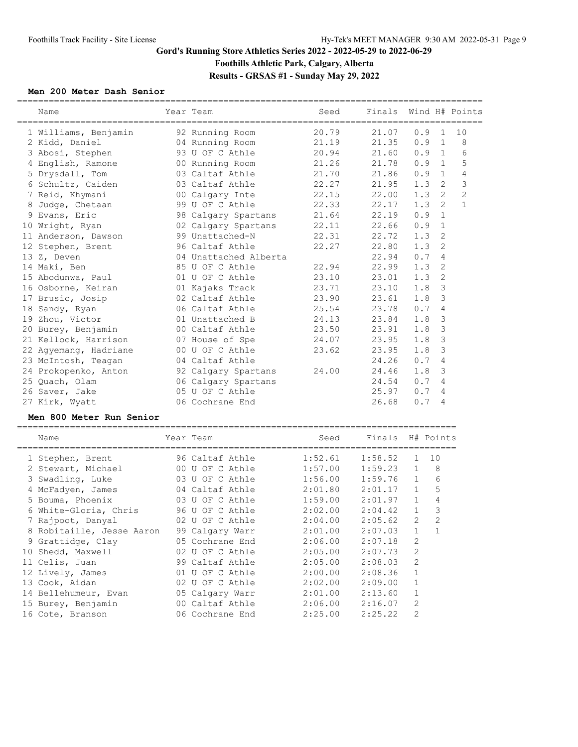# **Gord's Running Store Athletics Series 2022 - 2022-05-29 to 2022-06-29 Foothills Athletic Park, Calgary, Alberta Results - GRSAS #1 - Sunday May 29, 2022**

#### **Men 200 Meter Dash Senior**

| Name                                    | Year Team             | Seed    | Finals  | =========    |                | Wind H# Points |
|-----------------------------------------|-----------------------|---------|---------|--------------|----------------|----------------|
| 1 Williams, Benjamin                    | 92 Running Room       | 20.79   | 21.07   | 0.9          | $\mathbf{1}$   | 10             |
| 2 Kidd, Daniel                          | 04 Running Room       | 21.19   | 21.35   | 0.9          | $\mathbf{1}$   | 8              |
| 3 Abosi, Stephen                        | 93 U OF C Athle       | 20.94   | 21.60   | 0.9          | 1              | 6              |
| 4 English, Ramone                       | 00 Running Room       | 21.26   | 21.78   | 0.9          | 1              | 5              |
| 5 Drysdall, Tom                         | 03 Caltaf Athle       | 21.70   | 21.86   | 0.9          | $\mathbf{1}$   | $\overline{4}$ |
| 6 Schultz, Caiden                       | 03 Caltaf Athle       | 22.27   | 21.95   | 1.3          | 2              | $\mathcal{S}$  |
| 7 Reid, Khymani                         | 00 Calgary Inte       | 22.15   | 22.00   | 1.3          | $\overline{2}$ | $\overline{c}$ |
| 8 Judge, Chetaan                        | 99 U OF C Athle       | 22.33   | 22.17   | 1.3          | $\overline{2}$ | $\mathbf{1}$   |
| 9 Evans, Eric                           | 98 Calgary Spartans   | 21.64   | 22.19   | 0.9          | $\mathbf{1}$   |                |
| 10 Wright, Ryan                         | 02 Calgary Spartans   | 22.11   | 22.66   | 0.9          | $\mathbf{1}$   |                |
| 11 Anderson, Dawson                     | 99 Unattached-N       | 22.31   | 22.72   | 1.3          | 2              |                |
| 12 Stephen, Brent                       | 96 Caltaf Athle       | 22.27   | 22.80   | 1.3          | 2              |                |
| 13 Z, Deven                             | 04 Unattached Alberta |         | 22.94   | 0.7          | 4              |                |
| 14 Maki, Ben                            | 85 U OF C Athle       | 22.94   | 22.99   | 1.3          | 2              |                |
| 15 Abodunwa, Paul                       | 01 U OF C Athle       | 23.10   | 23.01   | 1.3          | 2              |                |
| 16 Osborne, Keiran                      | 01 Kajaks Track       | 23.71   | 23.10   | 1.8          | 3              |                |
| 17 Brusic, Josip                        | 02 Caltaf Athle       | 23.90   | 23.61   | 1.8          | 3              |                |
| 18 Sandy, Ryan                          | 06 Caltaf Athle       | 25.54   | 23.78   | 0.7          | 4              |                |
| 19 Zhou, Victor                         | 01 Unattached B       | 24.13   | 23.84   | 1.8          | $\mathcal{S}$  |                |
| 20 Burey, Benjamin                      | 00 Caltaf Athle       | 23.50   | 23.91   | 1.8          | $\mathcal{S}$  |                |
| 21 Kellock, Harrison                    | 07 House of Spe       | 24.07   | 23.95   | 1.8          | 3              |                |
| 22 Agyemang, Hadriane                   | 00 U OF C Athle       | 23.62   | 23.95   | 1.8          | 3              |                |
| 23 McIntosh, Teagan                     | 04 Caltaf Athle       |         | 24.26   | 0.7          | 4              |                |
| 24 Prokopenko, Anton                    | 92 Calgary Spartans   | 24.00   | 24.46   | 1.8          | 3              |                |
| 25 Quach, Olam                          | 06 Calgary Spartans   |         | 24.54   | 0.7          | 4              |                |
| 26 Saver, Jake                          | 05 U OF C Athle       |         | 25.97   | 0.7          | 4              |                |
| 27 Kirk, Wyatt                          | 06 Cochrane End       |         | 26.68   | 0.7          | 4              |                |
| Men 800 Meter Run Senior                |                       |         |         |              |                |                |
| _______________________________<br>Name | Year Team             | Seed    | Finals  | H# Points    |                |                |
|                                         |                       |         |         |              |                |                |
| 1 Stephen, Brent                        | 96 Caltaf Athle       | 1:52.61 | 1:58.52 | 1            | 10             |                |
| 2 Stewart, Michael                      | 00 U OF C Athle       | 1:57.00 | 1:59.23 | $\mathbf{1}$ | 8              |                |
| 3 Swadling, Luke                        | 03 U OF C Athle       | 1:56.00 | 1:59.76 | $\mathbf{1}$ | 6              |                |
| 4 McFadyen, James                       | 04 Caltaf Athle       | 2:01.80 | 2:01.17 | 1            | 5              |                |
| 5 Bouma, Phoenix                        | 03 U OF C Athle       | 1:59.00 | 2:01.97 | $\mathbf{1}$ | $\overline{4}$ |                |
| 6 White-Gloria, Chris                   | 96 U OF C Athle       | 2:02.00 | 2:04.42 | $\mathbf{1}$ | 3              |                |
| 7 Rajpoot, Danyal                       | 02 U OF C Athle       | 2:04.00 | 2:05.62 | $2^{\circ}$  | $\overline{c}$ |                |
| 8 Robitaille, Jesse Aaron               | 99 Calgary Warr       | 2:01.00 | 2:07.03 | 1            | 1              |                |
| 9 Grattidge, Clay                       | 05 Cochrane End       | 2:06.00 | 2:07.18 | 2            |                |                |
| 10 Shedd, Maxwell                       | 02 U OF C Athle       | 2:05.00 | 2:07.73 | 2            |                |                |
| 11 Celis, Juan                          | 99 Caltaf Athle       | 2:05.00 | 2:08.03 | 2            |                |                |
| 12 Lively, James                        | 01 U OF C Athle       | 2:00.00 | 2:08.36 | 1            |                |                |
| 13 Cook, Aidan                          | 02 U OF C Athle       | 2:02.00 | 2:09.00 | $\mathbf{1}$ |                |                |
| 14 Bellehumeur, Evan                    | 05 Calgary Warr       | 2:01.00 | 2:13.60 | $\mathbf 1$  |                |                |
| 15 Burey, Benjamin                      | 00 Caltaf Athle       | 2:06.00 | 2:16.07 | 2            |                |                |
| 16 Cote, Branson                        | 06 Cochrane End       | 2:25.00 | 2:25.22 | 2            |                |                |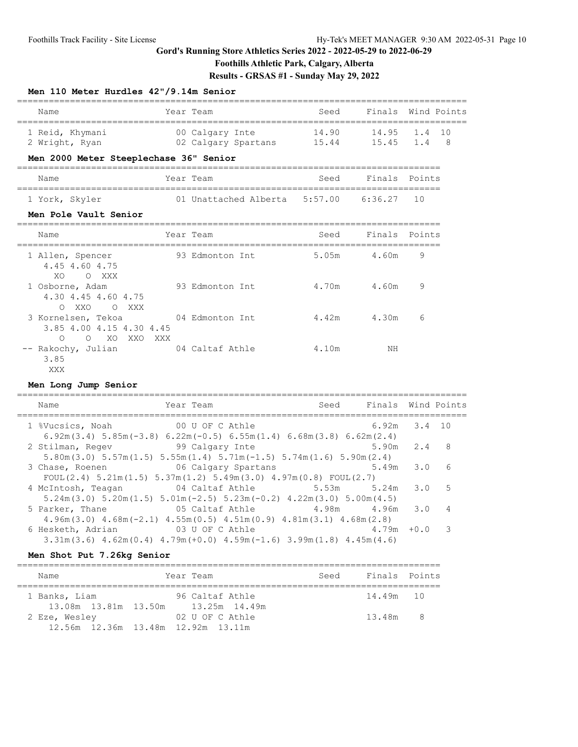# **Foothills Athletic Park, Calgary, Alberta**

**Results - GRSAS #1 - Sunday May 29, 2022**

#### **Men 110 Meter Hurdles 42"/9.14m Senior**

| Name            | Year Team           | Seed  | Finals Wind Points |                         |
|-----------------|---------------------|-------|--------------------|-------------------------|
| 1 Reid, Khymani | 00 Calgary Inte     | 14.90 | 14.95 1.4 10       |                         |
| 2 Wright, Ryan  | 02 Calgary Spartans | 15.44 | $15.45$ $1.4$      | $\overline{\mathbf{R}}$ |

## **Men 2000 Meter Steeplechase 36" Senior**

| Name | Year<br>Team | Seed | Finals Points |  |
|------|--------------|------|---------------|--|
|      |              |      |               |  |

# 1 York, Skyler 01 Unattached Alberta 5:57.00 6:36.27 10

# **Men Pole Vault Senior**

| Name                                                                                       | Year Team       | Seed  | Finals Points |   |
|--------------------------------------------------------------------------------------------|-----------------|-------|---------------|---|
| 1 Allen, Spencer<br>4.45 4.60 4.75<br>XO.<br>O XXX                                         | 93 Edmonton Int | 5.05m | 4.60m         | 9 |
| 1 Osborne, Adam<br>4.30 4.45 4.60 4.75<br>XXO<br>$\bigcirc$<br>XXX<br>$\bigcap$            | 93 Edmonton Int | 4.70m | 4.60m         | 9 |
| 3 Kornelsen, Tekoa<br>3.85 4.00 4.15 4.30 4.45<br>$\circ$<br>$\bigcirc$<br>XO XXO<br>XXX X | 04 Edmonton Int | 4.42m | 4.30m         | 6 |
| -- Rakochy, Julian<br>3.85<br>XXX                                                          | 04 Caltaf Athle | 4.10m | ΝH            |   |

#### **Men Long Jump Senior**

| Name                                               | Year Team                                                                                                                       | Seed Finals Wind Points |                  |     |                |
|----------------------------------------------------|---------------------------------------------------------------------------------------------------------------------------------|-------------------------|------------------|-----|----------------|
| 1 %Vucsics, Noah 00 U OF C Athle                   | $6.92m(3.4)$ 5.85m( $-3.8$ ) 6.22m( $-0.5$ ) 6.55m( $1.4$ ) 6.68m( $3.8$ ) 6.62m( $2.4$ )                                       |                         | $6.92m$ $3.4$ 10 |     |                |
| 2 Stilman, Regev 99 Calgary Inte                   | $5.80$ m $(3.0)$ $5.57$ m $(1.5)$ $5.55$ m $(1.4)$ $5.71$ m $(-1.5)$ $5.74$ m $(1.6)$ $5.90$ m $(2.4)$                          |                         | $5.90m$ 2.4      |     | 8 <sup>8</sup> |
| 3 Chase, Roenen                                    | 06 Calgary Spartans<br>FOUL(2.4) $5.21$ m(1.5) $5.37$ m(1.2) $5.49$ m(3.0) $4.97$ m(0.8) FOUL(2.7)                              |                         | 5.49m            | 3.0 | 6              |
| 4 McIntosh, Teagan and 04 Caltaf Athle 5.53m 5.24m | $5.24$ m $(3.0)$ $5.20$ m $(1.5)$ $5.01$ m $(-2.5)$ $5.23$ m $(-0.2)$ $4.22$ m $(3.0)$ $5.00$ m $(4.5)$                         |                         |                  | 3.0 | .5             |
| 5 Parker, Thane                                    | 05 Caltaf Athle $4.98$ m $4.96$ m<br>$4.96m(3.0)$ $4.68m(-2.1)$ $4.55m(0.5)$ $4.51m(0.9)$ $4.81m(3.1)$ $4.68m(2.8)$             |                         |                  | 3.0 | 4              |
| 6 Hesketh, Adrian 63 U OF C Athle                  | $3.31\text{m}$ (3.6) $4.62\text{m}$ (0.4) $4.79\text{m}$ (+0.0) $4.59\text{m}$ (-1.6) $3.99\text{m}$ (1.8) $4.45\text{m}$ (4.6) |                         | $4.79m + 0.0$    |     | -3             |

#### **Men Shot Put 7.26kg Senior**

| Name                                                | Year Team       | Seed | Finals Points |  |
|-----------------------------------------------------|-----------------|------|---------------|--|
| 1 Banks, Liam                                       | 96 Caltaf Athle |      | 14.49m 10     |  |
| 13.08m 13.81m 13.50m 13.25m 14.49m<br>2 Eze, Wesley | 02 U OF C Athle |      | 13.48m 8      |  |
| 12.56m 12.36m 13.48m 12.92m 13.11m                  |                 |      |               |  |